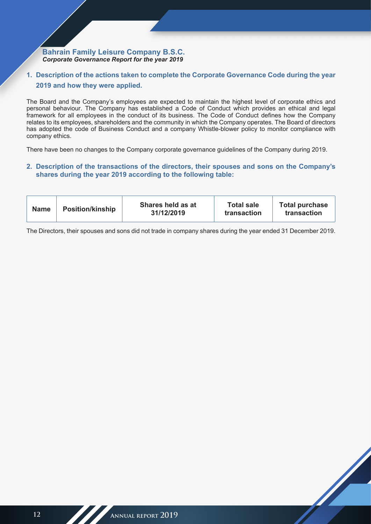# **1. Description of the actions taken to complete the Corporate Governance Code during the year 2019 and how they were applied.**

The Board and the Company's employees are expected to maintain the highest level of corporate ethics and personal behaviour. The Company has established a Code of Conduct which provides an ethical and legal framework for all employees in the conduct of its business. The Code of Conduct defines how the Company relates to its employees, shareholders and the community in which the Company operates. The Board of directors has adopted the code of Business Conduct and a company Whistle-blower policy to monitor compliance with company ethics.

There have been no changes to the Company corporate governance guidelines of the Company during 2019.

# **2. Description of the transactions of the directors, their spouses and sons on the Company's shares during the year 2019 according to the following table:**

| <b>Name</b> | <b>Position/kinship</b> | Shares held as at<br>31/12/2019 | <b>Total sale</b><br>transaction | <b>Total purchase</b><br>transaction |
|-------------|-------------------------|---------------------------------|----------------------------------|--------------------------------------|
|-------------|-------------------------|---------------------------------|----------------------------------|--------------------------------------|

The Directors, their spouses and sons did not trade in company shares during the year ended 31 December 2019.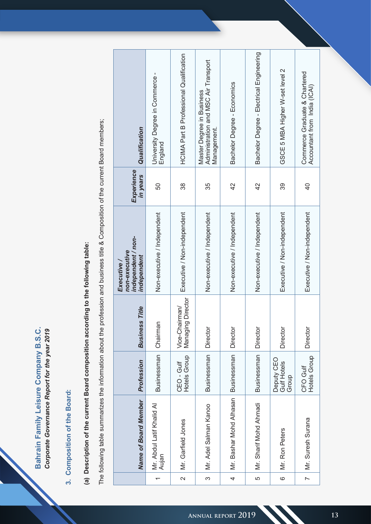|                                                               | $\mathbf{C}$                       |                                          |                             |                                                                                  |                                         |                                          |                                                                   |
|---------------------------------------------------------------|------------------------------------|------------------------------------------|-----------------------------|----------------------------------------------------------------------------------|-----------------------------------------|------------------------------------------|-------------------------------------------------------------------|
| Commerce Graduate & Chartered<br>Accountant from India (ICAI) | 5 MBA Higher W-set level<br>GSCE   | Bachelor Degree - Electrical Engineering | Bachelor Degree - Economics | Master Degree in Business<br>Administration and MSC Air Transport<br>Management. | HCIMA Part B Professional Qualification | University Degree in Commerce<br>England | Qualification                                                     |
| $\frac{4}{3}$                                                 | 39                                 | 42                                       | $\overline{4}$              | 35                                                                               | $38\,$                                  | 50                                       | Experience<br>in years                                            |
| Executive / Non-independent                                   | Executive / Non-independent        | Non-executive / Independent              | Non-executive / Independent | Non-executive / Independent                                                      | Executive / Non-independent             | Non-executive / Independent              | non-executive<br>independent / non-<br>independent<br>Executive / |
| Directo                                                       | Director                           | Director                                 | Directo                     | Directo                                                                          | Vice-Chairman/<br>Managing Director     | Chairman                                 | <b>Business Title</b>                                             |
| CFO Gulf<br>Hotels Group                                      | Deputy CEO<br>Gulf Hotels<br>Group | Businessman                              | Businessman                 | Businessman                                                                      | CEO - Gulf<br>Hotels Group              | Businessman                              | Profession                                                        |
| Mr. Suresh Surana                                             | Mr. Ron Peters                     | Mr. Sharif Mohd Ahmadi                   | Mr. Bashar Mohd Alhasan     | Mr. Adel Salman Kanoo                                                            | Mr. Garfield Jones                      | Mr. Abdul Latif Khalid Al<br>Aujan       | <b>Name of Board Member</b>                                       |
| $\overline{\phantom{a}}$                                      | $\circ$                            | 5                                        | 4                           | $\infty$                                                                         | $\mathbf{\Omega}$                       | $\overline{\phantom{m}}$                 |                                                                   |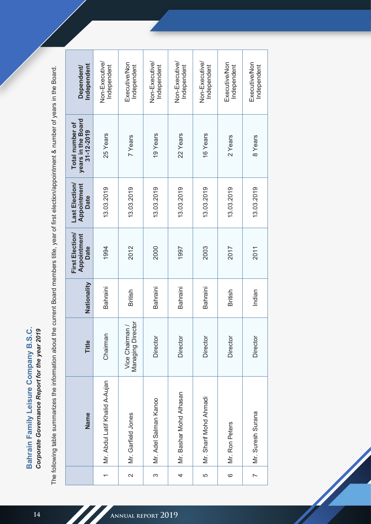Bahrain Family Leisure Company B.S.C. Corporate Governance Report for the year 2019 **Bahrain Family Leisure Company B.S.C.** *Corporate Governance Report for the year 2019*

The following table summarizes the information about the current Board members title, year of first election/appointment & number of years in the Board. The following table summarizes the information about the current Board members title, year of first election/appointment & number of years in the Board.

| Independent<br><b>Dependent/</b>                    | Non-Executive/<br>Independent  | Executive/Non<br>Independent       | Non-Executive/<br>Independent | Non-Executive/<br>Independent | Non-Executive/<br>Independent | Executive/Non<br>Independent | Executive/Non<br>Independent |
|-----------------------------------------------------|--------------------------------|------------------------------------|-------------------------------|-------------------------------|-------------------------------|------------------------------|------------------------------|
| years in the Board<br>Total number of<br>31-12-2019 | 25 Years                       | 7 Years                            | 19 Years                      | 22 Years                      | 16 Years                      | 2 Years                      | 8 Years                      |
| Last Election/<br>Appointment<br><b>Date</b>        | 13.03.2019                     | 13.03.2019                         | 13.03.2019                    | 13.03.2019                    | 13.03.2019                    | 13.03.2019                   | 13.03.2019                   |
| First Election/<br>Appointment<br><b>Date</b>       | 1994                           | 2012                               | 2000                          | 1997                          | 2003                          | 2017                         | 2011                         |
| Nationality                                         | Bahraini                       | <b>British</b>                     | Bahraini                      | Bahraini                      | Bahraini                      | British                      | Indian                       |
| Title                                               | Chairman                       | Managing Director<br>Vice Chairman | Director                      | Director                      | Director                      | Director                     | Director                     |
| Name                                                | Mr. Abdul Latif Khalid A-Aujan | Mr. Garfield Jones                 | Mr. Adel Salman Kanoo         | Mr. Bashar Mohd Alhasan       | Mr. Sharif Mohd Ahmadi        | Mr. Ron Peters               | Mr. Suresh Surana            |
|                                                     |                                | $\overline{\mathsf{N}}$            | S                             | 4                             | LO                            | $\circ$                      | $\sim$                       |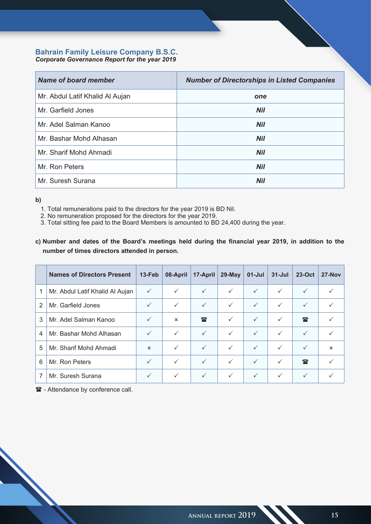# **Bahrain Family Leisure Company B.S.C.**

*Corporate Governance Report for the year 2019*

| Name of board member            | <b>Number of Directorships in Listed Companies</b> |
|---------------------------------|----------------------------------------------------|
| Mr. Abdul Latif Khalid Al Aujan | one                                                |
| Mr. Garfield Jones              | <b>Nil</b>                                         |
| Mr. Adel Salman Kanoo           | <b>Nil</b>                                         |
| Mr. Bashar Mohd Alhasan         | <b>Nil</b>                                         |
| Mr. Sharif Mohd Ahmadi          | <b>Nil</b>                                         |
| Mr. Ron Peters                  | <b>Nil</b>                                         |
| Mr. Suresh Surana               | Nil                                                |

**b)** 

- 1. Total remunerations paid to the directors for the year 2019 is BD Nil.
- 2. No remuneration proposed for the directors for the year 2019.
- 3. Total sitting fee paid to the Board Members is amounted to BD 24,400 during the year.
- **c) Number and dates of the Board's meetings held during the financial year 2019, in addition to the number of times directors attended in person.**

|                | <b>Names of Directors Present</b> | 13-Feb       | 08-April                  | 17-April     | 29-May       | $01$ -Jul    | $31 -$ Jul   | $23-Oct$     | $27-Nov$     |
|----------------|-----------------------------------|--------------|---------------------------|--------------|--------------|--------------|--------------|--------------|--------------|
| 1              | Mr. Abdul Latif Khalid Al Aujan   | $\checkmark$ | $\checkmark$              | $\checkmark$ | $\checkmark$ | $\checkmark$ | $\checkmark$ | $\checkmark$ | $\checkmark$ |
| $\overline{2}$ | Mr. Garfield Jones                | $\checkmark$ | $\checkmark$              | $\checkmark$ | $\checkmark$ | $\checkmark$ | $\checkmark$ | $\checkmark$ | $\checkmark$ |
| 3              | Mr. Adel Salman Kanoo             | $\checkmark$ | $\boldsymbol{\mathsf{x}}$ | $\mathbb{R}$ | $\checkmark$ | $\checkmark$ | $\checkmark$ | $\mathbf{r}$ |              |
| 4              | Mr. Bashar Mohd Alhasan           | $\checkmark$ | $\checkmark$              | $\checkmark$ | $\checkmark$ | $\checkmark$ | $\checkmark$ | $\checkmark$ | $\checkmark$ |
| 5              | Mr. Sharif Mohd Ahmadi            | $\mathsf{x}$ |                           | $\checkmark$ | $\checkmark$ | $\checkmark$ | $\checkmark$ | $\checkmark$ | $\mathsf{x}$ |
| 6              | Mr. Ron Peters                    | $\checkmark$ | $\checkmark$              | $\checkmark$ | $\checkmark$ | $\checkmark$ | $\checkmark$ | $\mathbf{r}$ |              |
|                | Mr. Suresh Surana                 | $\checkmark$ | $\checkmark$              | $\checkmark$ | $\checkmark$ | $\checkmark$ | $\checkmark$ | $\checkmark$ |              |

 $\mathbf{\hat{a}}$  - Attendance by conference call.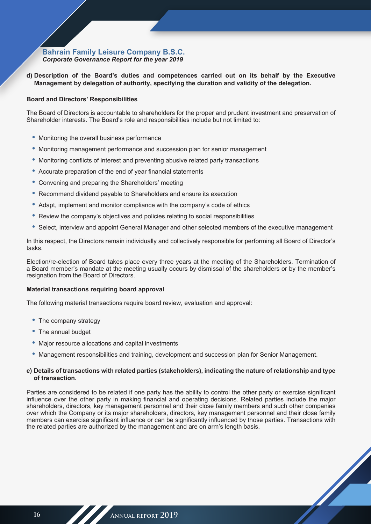**d) Description of the Board's duties and competences carried out on its behalf by the Executive Management by delegation of authority, specifying the duration and validity of the delegation.**

### **Board and Directors' Responsibilities**

The Board of Directors is accountable to shareholders for the proper and prudent investment and preservation of Shareholder interests. The Board's role and responsibilities include but not limited to:

- Monitoring the overall business performance
- Monitoring management performance and succession plan for senior management
- Monitoring conflicts of interest and preventing abusive related party transactions
- Accurate preparation of the end of year financial statements
- Convening and preparing the Shareholders' meeting
- Recommend dividend payable to Shareholders and ensure its execution
- Adapt, implement and monitor compliance with the company's code of ethics
- Review the company's objectives and policies relating to social responsibilities
- Select, interview and appoint General Manager and other selected members of the executive management

In this respect, the Directors remain individually and collectively responsible for performing all Board of Director's tasks.

Election/re-election of Board takes place every three years at the meeting of the Shareholders. Termination of a Board member's mandate at the meeting usually occurs by dismissal of the shareholders or by the member's resignation from the Board of Directors.

### **Material transactions requiring board approval**

The following material transactions require board review, evaluation and approval:

- The company strategy
- The annual budget
- Major resource allocations and capital investments
- Management responsibilities and training, development and succession plan for Senior Management.

### **e) Details of transactions with related parties (stakeholders), indicating the nature of relationship and type of transaction.**

Parties are considered to be related if one party has the ability to control the other party or exercise significant influence over the other party in making financial and operating decisions. Related parties include the major shareholders, directors, key management personnel and their close family members and such other companies over which the Company or its major shareholders, directors, key management personnel and their close family members can exercise significant influence or can be significantly influenced by those parties. Transactions with the related parties are authorized by the management and are on arm's length basis.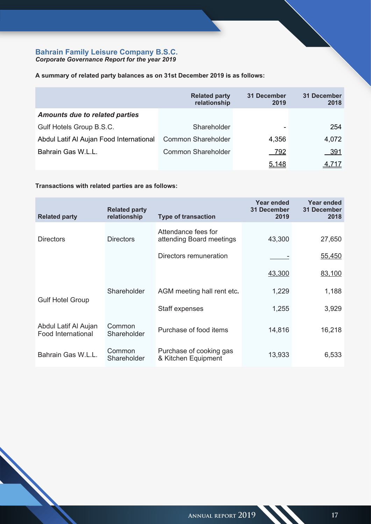**A summary of related party balances as on 31st December 2019 is as follows:**

|                                         | <b>Related party</b><br>relationship | 31 December<br>2019 | 31 December<br>2018 |
|-----------------------------------------|--------------------------------------|---------------------|---------------------|
| <b>Amounts due to related parties</b>   |                                      |                     |                     |
| Gulf Hotels Group B.S.C.                | Shareholder                          |                     | 254                 |
| Abdul Latif Al Aujan Food International | <b>Common Shareholder</b>            | 4,356               | 4,072               |
| Bahrain Gas W.L.L.                      | <b>Common Shareholder</b>            | 792                 | <u>__391</u>        |
|                                         |                                      | 5,148               | 4.717               |

# **Transactions with related parties are as follows:**

| <b>Related party</b>                       | <b>Related party</b><br>relationship | <b>Type of transaction</b>                      | Year ended<br><b>31 December</b><br>2019 | Year ended<br>31 December<br>2018 |
|--------------------------------------------|--------------------------------------|-------------------------------------------------|------------------------------------------|-----------------------------------|
| <b>Directors</b>                           | <b>Directors</b>                     | Attendance fees for<br>attending Board meetings | 43,300                                   | 27,650                            |
|                                            |                                      | Directors remuneration                          |                                          | 55,450                            |
|                                            |                                      |                                                 | 43,300                                   | 83,100                            |
|                                            | Shareholder                          | AGM meeting hall rent etc.                      | 1,229                                    | 1,188                             |
| <b>Gulf Hotel Group</b>                    |                                      | Staff expenses                                  | 1,255                                    | 3,929                             |
| Abdul Latif Al Aujan<br>Food International | Common<br>Shareholder                | Purchase of food items                          | 14,816                                   | 16,218                            |
| Bahrain Gas W.L.L.                         | Common<br>Shareholder                | Purchase of cooking gas<br>& Kitchen Equipment  | 13,933                                   | 6,533                             |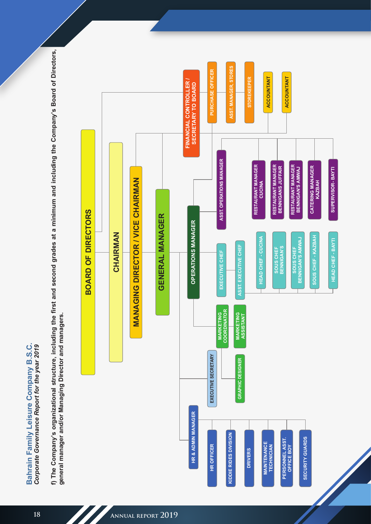Bahrain Family Leisure Company B.S.C. **Bahrain Family Leisure Company B.S.C.** *Corporate Governance Report for the year 2019* **f) The Company's organizational structure, including the first and second grades at a minimum and including the Company's Board of Directors, general manager and/or Managing Director and managers.**

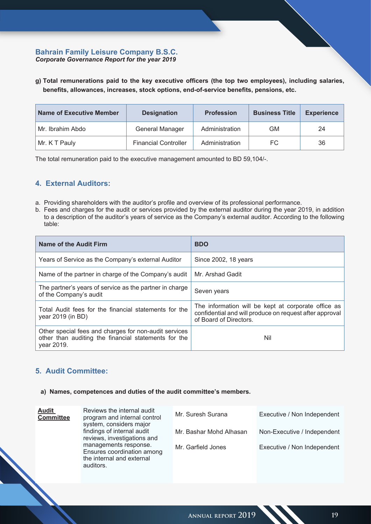**g) Total remunerations paid to the key executive officers (the top two employees), including salaries, benefits, allowances, increases, stock options, end-of-service benefits, pensions, etc.**

| <b>Name of Executive Member</b> | <b>Designation</b>          | <b>Profession</b> | <b>Business Title</b> | <b>Experience</b> |
|---------------------------------|-----------------------------|-------------------|-----------------------|-------------------|
| Mr. Ibrahim Abdo                | General Manager             | Administration    | GМ                    | 24                |
| Mr. K T Pauly                   | <b>Financial Controller</b> | Administration    | FC                    | 36                |

The total remuneration paid to the executive management amounted to BD 59,104/-.

# **4. External Auditors:**

- a. Providing shareholders with the auditor's profile and overview of its professional performance.
- b. Fees and charges for the audit or services provided by the external auditor during the year 2019, in addition to a description of the auditor's years of service as the Company's external auditor. According to the following table:

| Name of the Audit Firm                                                                                                      | <b>BDO</b>                                                                                                                               |
|-----------------------------------------------------------------------------------------------------------------------------|------------------------------------------------------------------------------------------------------------------------------------------|
| Years of Service as the Company's external Auditor                                                                          | Since 2002, 18 years                                                                                                                     |
| Name of the partner in charge of the Company's audit                                                                        | Mr. Arshad Gadit                                                                                                                         |
| The partner's years of service as the partner in charge<br>of the Company's audit                                           | Seven years                                                                                                                              |
| Total Audit fees for the financial statements for the<br>year 2019 (in BD)                                                  | The information will be kept at corporate office as<br>confidential and will produce on request after approval<br>of Board of Directors. |
| Other special fees and charges for non-audit services<br>other than auditing the financial statements for the<br>year 2019. | Nil                                                                                                                                      |

# **5. Audit Committee:**

### **a) Names, competences and duties of the audit committee's members.**

| <b>Audit</b><br><b>Committee</b> | Reviews the internal audit<br>program and internal control<br>system, considers major         | Mr. Suresh Surana       | Executive / Non Independent |
|----------------------------------|-----------------------------------------------------------------------------------------------|-------------------------|-----------------------------|
|                                  | findings of internal audit<br>reviews, investigations and                                     | Mr. Bashar Mohd Alhasan | Non-Executive / Independent |
|                                  | managements response.<br>Ensures coordination among<br>the internal and external<br>auditors. | Mr. Garfield Jones      | Executive / Non Independent |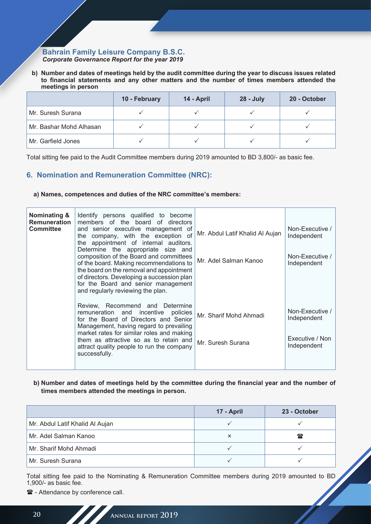**b) Number and dates of meetings held by the audit committee during the year to discuss issues related to financial statements and any other matters and the number of times members attended the meetings in person**

|                         | 10 - February | 14 - April | 28 - July | 20 - October |
|-------------------------|---------------|------------|-----------|--------------|
| Mr. Suresh Surana       |               |            |           |              |
| Mr. Bashar Mohd Alhasan |               |            |           |              |
| Mr. Garfield Jones      |               |            |           |              |

Total sitting fee paid to the Audit Committee members during 2019 amounted to BD 3,800/- as basic fee.

# **6. Nomination and Remuneration Committee (NRC):**

### **a) Names, competences and duties of the NRC committee's members:**

| <b>Nominating &amp;</b><br><b>Remuneration</b><br><b>Committee</b> | Identify persons qualified to become<br>members of the board of directors<br>and senior executive management of<br>the company, with the exception of<br>the appointment of internal auditors.<br>Determine the appropriate size and<br>composition of the Board and committees<br>of the board. Making recommendations to<br>the board on the removal and appointment<br>of directors. Developing a succession plan<br>for the Board and senior management<br>and regularly reviewing the plan. | Mr. Abdul Latif Khalid Al Aujan<br>Mr. Adel Salman Kanoo | Non-Executive /<br>Independent<br>Non-Executive /<br>Independent |
|--------------------------------------------------------------------|--------------------------------------------------------------------------------------------------------------------------------------------------------------------------------------------------------------------------------------------------------------------------------------------------------------------------------------------------------------------------------------------------------------------------------------------------------------------------------------------------|----------------------------------------------------------|------------------------------------------------------------------|
|                                                                    | Review, Recommend and Determine<br>remuneration and incentive<br>policies<br>for the Board of Directors and Senior<br>Management, having regard to prevailing<br>market rates for similar roles and making<br>them as attractive so as to retain and<br>attract quality people to run the company<br>successfully.                                                                                                                                                                               | Mr. Sharif Mohd Ahmadi<br>Mr. Suresh Surana              | Non-Executive /<br>Independent<br>Executive / Non<br>Independent |

## **b) Number and dates of meetings held by the committee during the financial year and the number of times members attended the meetings in person.**

|                                 | 17 - April | 23 - October |
|---------------------------------|------------|--------------|
| Mr. Abdul Latif Khalid Al Aujan |            |              |
| Mr. Adel Salman Kanoo           | x          | $\mathbf{r}$ |
| Mr. Sharif Mohd Ahmadi          |            |              |
| Mr. Suresh Surana               |            |              |

Total sitting fee paid to the Nominating & Remuneration Committee members during 2019 amounted to BD 1,900/- as basic fee.

 $\mathbf{\hat{a}}$  - Attendance by conference call.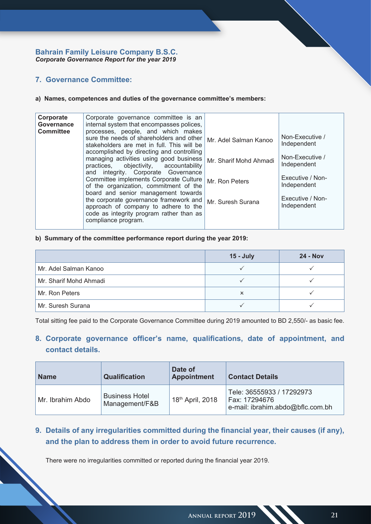# **7. Governance Committee:**

### **a) Names, competences and duties of the governance committee's members:**

| Corporate<br>Governance<br><b>Committee</b> | Corporate governance committee is an<br>internal system that encompasses polices,<br>processes, people, and which makes                                           |                        |                                 |
|---------------------------------------------|-------------------------------------------------------------------------------------------------------------------------------------------------------------------|------------------------|---------------------------------|
|                                             | sure the needs of shareholders and other<br>stakeholders are met in full. This will be                                                                            | Mr. Adel Salman Kanoo  | Non-Executive /<br>Independent  |
|                                             | accomplished by directing and controlling<br>managing activities using good business<br>practices, objectivity, accountability                                    | Mr. Sharif Mohd Ahmadi | Non-Executive /<br>Independent  |
|                                             | and integrity. Corporate Governance<br>Committee implements Corporate Culture<br>of the organization, commitment of the                                           | Mr. Ron Peters         | Executive / Non-<br>Independent |
|                                             | board and senior management towards<br>the corporate governance framework and<br>approach of company to adhere to the<br>code as integrity program rather than as | Mr. Suresh Surana      | Executive / Non-<br>Independent |
|                                             | compliance program.                                                                                                                                               |                        |                                 |

## **b) Summary of the committee performance report during the year 2019:**

|                        | $15 - July$ | <b>24 - Nov</b> |
|------------------------|-------------|-----------------|
| Mr. Adel Salman Kanoo  |             |                 |
| Mr. Sharif Mohd Ahmadi |             |                 |
| Mr. Ron Peters         | x           |                 |
| Mr. Suresh Surana      |             |                 |

Total sitting fee paid to the Corporate Governance Committee during 2019 amounted to BD 2,550/- as basic fee.

# **8. Corporate governance officer's name, qualifications, date of appointment, and contact details.**

| <b>Name</b>      | <b>Qualification</b>                    | Date of<br><b>Appointment</b> | <b>Contact Details</b>                                                         |
|------------------|-----------------------------------------|-------------------------------|--------------------------------------------------------------------------------|
| Mr. Ibrahim Abdo | <b>Business Hotel</b><br>Management/F&B | 18th April, 2018              | Tele: 36555933 / 17292973<br>Fax: 17294676<br>e-mail: ibrahim.abdo@bflc.com.bh |

# **9. Details of any irregularities committed during the financial year, their causes (if any), and the plan to address them in order to avoid future recurrence.**

There were no irregularities committed or reported during the financial year 2019.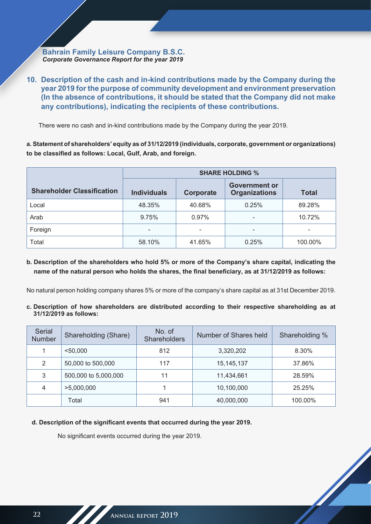**10. Description of the cash and in-kind contributions made by the Company during the year 2019 for the purpose of community development and environment preservation (In the absence of contributions, it should be stated that the Company did not make any contributions), indicating the recipients of these contributions.**

There were no cash and in-kind contributions made by the Company during the year 2019.

**a. Statement of shareholders' equity as of 31/12/2019 (individuals, corporate, government or organizations) to be classified as follows: Local, Gulf, Arab, and foreign.**

|                                   | <b>SHARE HOLDING %</b>   |           |                                              |                          |
|-----------------------------------|--------------------------|-----------|----------------------------------------------|--------------------------|
| <b>Shareholder Classification</b> | <b>Individuals</b>       | Corporate | <b>Government or</b><br><b>Organizations</b> | <b>Total</b>             |
| Local                             | 48.35%                   | 40.68%    | 0.25%                                        | 89.28%                   |
| Arab                              | 9.75%                    | 0.97%     |                                              | 10.72%                   |
| Foreign                           | $\overline{\phantom{a}}$ | -         |                                              | $\overline{\phantom{0}}$ |
| Total                             | 58.10%                   | 41.65%    | 0.25%                                        | 100.00%                  |

**b. Description of the shareholders who hold 5% or more of the Company's share capital, indicating the name of the natural person who holds the shares, the final beneficiary, as at 31/12/2019 as follows:**

No natural person holding company shares 5% or more of the company's share capital as at 31st December 2019.

**c. Description of how shareholders are distributed according to their respective shareholding as at 31/12/2019 as follows:**

| Serial<br><b>Number</b> | Shareholding (Share) | No. of<br>Shareholders | Number of Shares held | Shareholding % |
|-------------------------|----------------------|------------------------|-----------------------|----------------|
|                         | < 50.000             | 812                    | 3,320,202             | 8.30%          |
| 2                       | 50,000 to 500,000    | 117                    | 15, 145, 137          | 37.86%         |
| 3                       | 500,000 to 5,000,000 | 11                     | 11,434,661            | 28.59%         |
| 4                       | >5,000,000           |                        | 10,100,000            | 25.25%         |
|                         | Total                | 941                    | 40,000,000            | 100.00%        |

A

**d. Description of the significant events that occurred during the year 2019.**

No significant events occurred during the year 2019.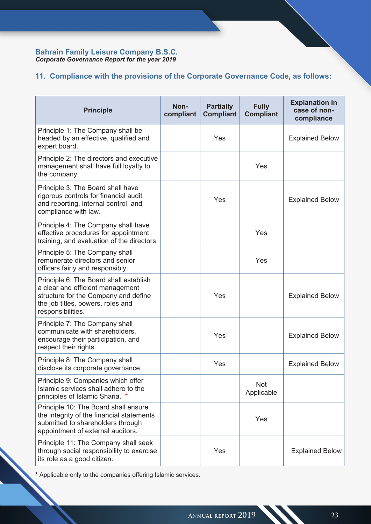# **11. Compliance with the provisions of the Corporate Governance Code, as follows:**

| <b>Principle</b>                                                                                                                                                             | Non-<br>compliant | <b>Partially</b><br><b>Compliant</b> | <b>Fully</b><br><b>Compliant</b> | <b>Explanation in</b><br>case of non-<br>compliance |
|------------------------------------------------------------------------------------------------------------------------------------------------------------------------------|-------------------|--------------------------------------|----------------------------------|-----------------------------------------------------|
| Principle 1: The Company shall be<br>headed by an effective, qualified and<br>expert board.                                                                                  |                   | Yes                                  |                                  | <b>Explained Below</b>                              |
| Principle 2: The directors and executive<br>management shall have full loyalty to<br>the company.                                                                            |                   |                                      | Yes                              |                                                     |
| Principle 3: The Board shall have<br>rigorous controls for financial audit<br>and reporting, internal control, and<br>compliance with law.                                   |                   | Yes                                  |                                  | <b>Explained Below</b>                              |
| Principle 4: The Company shall have<br>effective procedures for appointment,<br>training, and evaluation of the directors                                                    |                   |                                      | Yes                              |                                                     |
| Principle 5: The Company shall<br>remunerate directors and senior<br>officers fairly and responsibly.                                                                        |                   |                                      | Yes                              |                                                     |
| Principle 6: The Board shall establish<br>a clear and efficient management<br>structure for the Company and define<br>the job titles, powers, roles and<br>responsibilities. |                   | Yes                                  |                                  | <b>Explained Below</b>                              |
| Principle 7: The Company shall<br>communicate with shareholders.<br>encourage their participation, and<br>respect their rights.                                              |                   | Yes                                  |                                  | <b>Explained Below</b>                              |
| Principle 8: The Company shall<br>disclose its corporate governance.                                                                                                         |                   | Yes                                  |                                  | <b>Explained Below</b>                              |
| Principle 9: Companies which offer<br>Islamic services shall adhere to the<br>principles of Islamic Sharia. *                                                                |                   |                                      | <b>Not</b><br>Applicable         |                                                     |
| Principle 10: The Board shall ensure<br>the integrity of the financial statements<br>submitted to shareholders through<br>appointment of external auditors.                  |                   |                                      | Yes                              |                                                     |
| Principle 11: The Company shall seek<br>through social responsibility to exercise<br>its role as a good citizen.                                                             |                   | Yes                                  |                                  | <b>Explained Below</b>                              |

\* Applicable only to the companies offering Islamic services.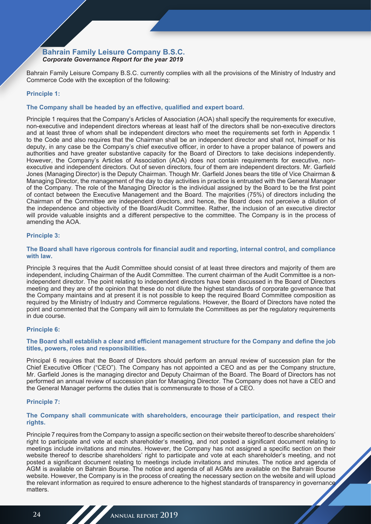Bahrain Family Leisure Company B.S.C. currently complies with all the provisions of the Ministry of Industry and Commerce Code with the exception of the following:

### **Principle 1:**

### **The Company shall be headed by an effective, qualified and expert board.**

Principle 1 requires that the Company's Articles of Association (AOA) shall specify the requirements for executive, non-executive and independent directors whereas at least half of the directors shall be non-executive directors and at least three of whom shall be independent directors who meet the requirements set forth in Appendix 1 to the Code and also requires that the Chairman shall be an independent director and shall not, himself or his deputy, in any case be the Company's chief executive officer, in order to have a proper balance of powers and authorities and have greater substantive capacity for the Board of Directors to take decisions independently. However, the Company's Articles of Association (AOA) does not contain requirements for executive, nonexecutive and independent directors. Out of seven directors, four of them are independent directors. Mr. Garfield Jones (Managing Director) is the Deputy Chairman. Though Mr. Garfield Jones bears the title of Vice Chairman & Managing Director, the management of the day to day activities in practice is entrusted with the General Manager of the Company. The role of the Managing Director is the individual assigned by the Board to be the first point of contact between the Executive Management and the Board. The majorities (75%) of directors including the Chairman of the Committee are independent directors, and hence, the Board does not perceive a dilution of the independence and objectivity of the Board/Audit Committee. Rather, the inclusion of an executive director will provide valuable insights and a different perspective to the committee. The Company is in the process of amending the AOA.

### **Principle 3:**

### **The Board shall have rigorous controls for financial audit and reporting, internal control, and compliance with law.**

Principle 3 requires that the Audit Committee should consist of at least three directors and majority of them are independent, including Chairman of the Audit Committee. The current chairman of the Audit Committee is a nonindependent director. The point relating to independent directors have been discussed in the Board of Directors meeting and they are of the opinion that these do not dilute the highest standards of corporate governance that the Company maintains and at present it is not possible to keep the required Board Committee composition as required by the Ministry of Industry and Commerce regulations. However, the Board of Directors have noted the point and commented that the Company will aim to formulate the Committees as per the regulatory requirements in due course.

### **Principle 6:**

### **The Board shall establish a clear and efficient management structure for the Company and define the job titles, powers, roles and responsibilities.**

Principal 6 requires that the Board of Directors should perform an annual review of succession plan for the Chief Executive Officer ("CEO"). The Company has not appointed a CEO and as per the Company structure, Mr. Garfield Jones is the managing director and Deputy Chairman of the Board. The Board of Directors has not performed an annual review of succession plan for Managing Director. The Company does not have a CEO and the General Manager performs the duties that is commensurate to those of a CEO.

#### **Principle 7:**

### **The Company shall communicate with shareholders, encourage their participation, and respect their rights.**

Principle 7 requires from the Company to assign a specific section on their website thereof to describe shareholders' right to participate and vote at each shareholder's meeting, and not posted a significant document relating to meetings include invitations and minutes. However, the Company has not assigned a specific section on their website thereof to describe shareholders' right to participate and vote at each shareholder's meeting, and not posted a significant document relating to meetings include invitations and minutes. The notice and agenda of AGM is available on Bahrain Bourse. The notice and agenda of all AGMs are available on the Bahrain Bourse website. However, the Company is in the process of creating the necessary section on the website and will upload the relevant information as required to ensure adherence to the highest standards of transparency in governance matters.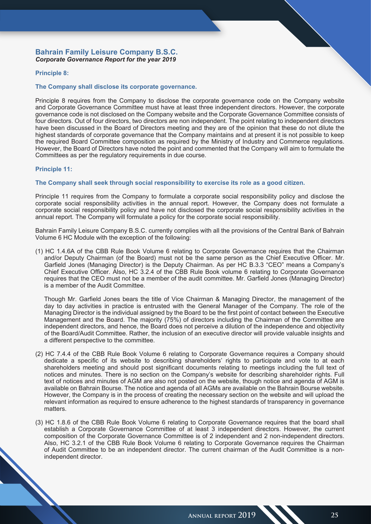### **Principle 8:**

### **The Company shall disclose its corporate governance.**

Principle 8 requires from the Company to disclose the corporate governance code on the Company website and Corporate Governance Committee must have at least three independent directors. However, the corporate governance code is not disclosed on the Company website and the Corporate Governance Committee consists of four directors. Out of four directors, two directors are non independent. The point relating to independent directors have been discussed in the Board of Directors meeting and they are of the opinion that these do not dilute the highest standards of corporate governance that the Company maintains and at present it is not possible to keep the required Board Committee composition as required by the Ministry of Industry and Commerce regulations. However, the Board of Directors have noted the point and commented that the Company will aim to formulate the Committees as per the regulatory requirements in due course.

### **Principle 11:**

#### **The Company shall seek through social responsibility to exercise its role as a good citizen.**

Principle 11 requires from the Company to formulate a corporate social responsibility policy and disclose the corporate social responsibility activities in the annual report. However, the Company does not formulate a corporate social responsibility policy and have not disclosed the corporate social responsibility activities in the annual report. The Company will formulate a policy for the corporate social responsibility.

Bahrain Family Leisure Company B.S.C. currently complies with all the provisions of the Central Bank of Bahrain Volume 6 HC Module with the exception of the following:

(1) HC 1.4.6A of the CBB Rule Book Volume 6 relating to Corporate Governance requires that the Chairman and/or Deputy Chairman (of the Board) must not be the same person as the Chief Executive Officer. Mr. Garfield Jones (Managing Director) is the Deputy Chairman. As per HC B.3.3 "CEO" means a Company's Chief Executive Officer. Also, HC 3.2.4 of the CBB Rule Book volume 6 relating to Corporate Governance requires that the CEO must not be a member of the audit committee. Mr. Garfield Jones (Managing Director) is a member of the Audit Committee.

Though Mr. Garfield Jones bears the title of Vice Chairman & Managing Director, the management of the day to day activities in practice is entrusted with the General Manager of the Company. The role of the Managing Director is the individual assigned by the Board to be the first point of contact between the Executive Management and the Board. The majority (75%) of directors including the Chairman of the Committee are independent directors, and hence, the Board does not perceive a dilution of the independence and objectivity of the Board/Audit Committee. Rather, the inclusion of an executive director will provide valuable insights and a different perspective to the committee.

- (2) HC 7.4.4 of the CBB Rule Book Volume 6 relating to Corporate Governance requires a Company should dedicate a specific of its website to describing shareholders' rights to participate and vote to at each shareholders meeting and should post significant documents relating to meetings including the full text of notices and minutes. There is no section on the Company's website for describing shareholder rights. Full text of notices and minutes of AGM are also not posted on the website, though notice and agenda of AGM is available on Bahrain Bourse. The notice and agenda of all AGMs are available on the Bahrain Bourse website. However, the Company is in the process of creating the necessary section on the website and will upload the relevant information as required to ensure adherence to the highest standards of transparency in governance matters.
- (3) HC 1.8.6 of the CBB Rule Book Volume 6 relating to Corporate Governance requires that the board shall establish a Corporate Governance Committee of at least 3 independent directors. However, the current composition of the Corporate Governance Committee is of 2 independent and 2 non-independent directors. Also, HC 3.2.1 of the CBB Rule Book Volume 6 relating to Corporate Governance requires the Chairman of Audit Committee to be an independent director. The current chairman of the Audit Committee is a nonindependent director.